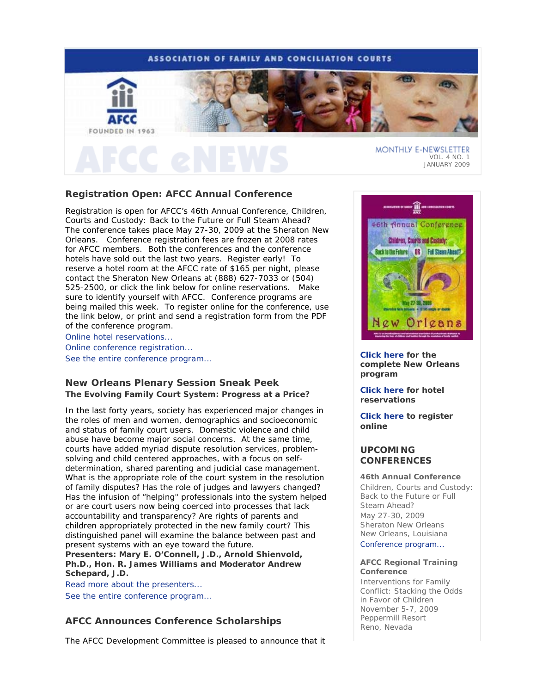## **ASSOCIATION OF FAMILY AND CONCILIATION COURTS**



# **Registration Open: AFCC Annual Conference**

Registration is open for AFCC's 46th Annual Conference, *Children, Courts and Custody: Back to the Future or Full Steam Ahead?*  The conference takes place May 27-30, 2009 at the Sheraton New Orleans. Conference registration fees are frozen at 2008 rates for AFCC members. Both the conferences and the conference hotels have sold out the last two years. Register early! To reserve a hotel room at the AFCC rate of \$165 per night, please contact the Sheraton New Orleans at (888) 627-7033 or (504) 525-2500, or click the link below for online reservations. Make sure to identify yourself with AFCC. Conference programs are being mailed this week. To register online for the conference, use the link below, or print and send a registration form from the PDF of the conference program.

Online hotel reservations...

Online conference registration... See the entire conference program...

## **New Orleans Plenary Session Sneak Peek The Evolving Family Court System: Progress at a Price?**

In the last forty years, society has experienced major changes in the roles of men and women, demographics and socioeconomic and status of family court users. Domestic violence and child abuse have become major social concerns. At the same time, courts have added myriad dispute resolution services, problemsolving and child centered approaches, with a focus on selfdetermination, shared parenting and judicial case management. What is the appropriate role of the court system in the resolution of family disputes? Has the role of judges and lawyers changed? Has the infusion of "helping" professionals into the system helped or are court users now being coerced into processes that lack accountability and transparency? Are rights of parents and children appropriately protected in the new family court? This distinguished panel will examine the balance between past and present systems with an eye toward the future.

**Presenters: Mary E. O'Connell, J.D., Arnold Shienvold, Ph.D., Hon. R. James Williams and Moderator Andrew Schepard, J.D.**

Read more about the presenters... See the entire conference program...

## **AFCC Announces Conference Scholarships**

The AFCC Development Committee is pleased to announce that it



JANUARY 2009

**Click here for the complete New Orleans program** 

**Click here for hotel reservations** 

**Click here to register online**

## **UPCOMING CONFERENCES**

### **46th Annual Conference**

*Children, Courts and Custody: Back to the Future or Full Steam Ahead?*  May 27-30, 2009 Sheraton New Orleans New Orleans, Louisiana Conference program...

## **AFCC Regional Training Conference**

*Interventions for Family Conflict: Stacking the Odds in Favor of Children*  November 5-7, 2009 Peppermill Resort Reno, Nevada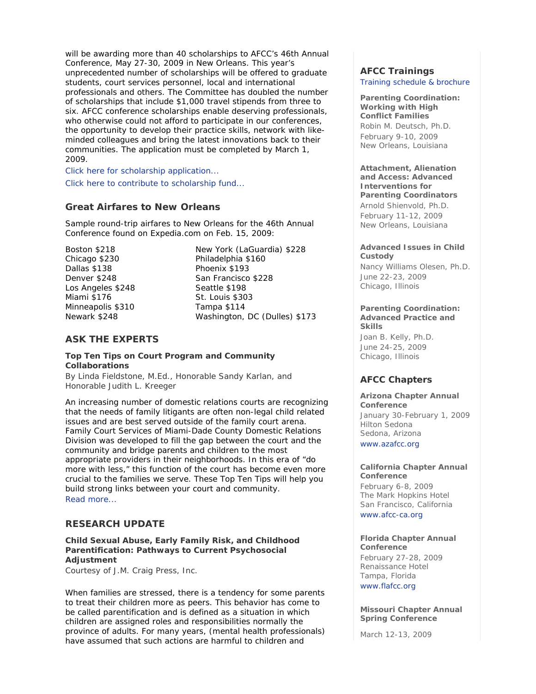will be awarding more than 40 scholarships to AFCC's 46th Annual Conference, May 27-30, 2009 in New Orleans. This year's unprecedented number of scholarships will be offered to graduate students, court services personnel, local and international professionals and others. The Committee has doubled the number of scholarships that include \$1,000 travel stipends from three to six. AFCC conference scholarships enable deserving professionals, who otherwise could not afford to participate in our conferences, the opportunity to develop their practice skills, network with likeminded colleagues and bring the latest innovations back to their communities. The application must be completed by March 1, 2009.

Click here for scholarship application...

Click here to contribute to scholarship fund...

## **Great Airfares to New Orleans**

Sample round-trip airfares to New Orleans for the 46th Annual Conference found on Expedia.com on Feb. 15, 2009:

Boston \$218 Chicago \$230 Dallas \$138 Denver \$248 Los Angeles \$248 Miami \$176 Minneapolis \$310 Newark \$248

New York (LaGuardia) \$228 Philadelphia \$160 Phoenix \$193 San Francisco \$228 Seattle \$198 St. Louis \$303 Tampa \$114 Washington, DC (Dulles) \$173

## **ASK THE EXPERTS**

## **Top Ten Tips on Court Program and Community Collaborations**

*By Linda Fieldstone, M.Ed., Honorable Sandy Karlan, and Honorable Judith L. Kreeger* 

An increasing number of domestic relations courts are recognizing that the needs of family litigants are often non-legal child related issues and are best served outside of the family court arena. Family Court Services of Miami-Dade County Domestic Relations Division was developed to fill the gap between the court and the community and bridge parents and children to the most appropriate providers in their neighborhoods. In this era of "do more with less," this function of the court has become even more crucial to the families we serve. These Top Ten Tips will help you build strong links between your court and community. Read more...

## **RESEARCH UPDATE**

## **Child Sexual Abuse, Early Family Risk, and Childhood Parentification: Pathways to Current Psychosocial Adjustment**

*Courtesy of J.M. Craig Press, Inc.* 

When families are stressed, there is a tendency for some parents to treat their children more as peers. This behavior has come to be called parentification and is defined as a situation in which children are assigned roles and responsibilities normally the province of adults. For many years, (mental health professionals) have assumed that such actions are harmful to children and

# **AFCC Trainings**

Training schedule & brochure

**Parenting Coordination: Working with High Conflict Families**  *Robin M. Deutsch, Ph.D.* February 9-10, 2009 New Orleans, Louisiana

#### **Attachment, Alienation and Access: Advanced Interventions for**

**Parenting Coordinators** *Arnold Shienvold, Ph.D.* February 11-12, 2009 New Orleans, Louisiana

### **Advanced Issues in Child Custody**

*Nancy Williams Olesen, Ph.D.* June 22-23, 2009 Chicago, Illinois

### **Parenting Coordination: Advanced Practice and Skills**

*Joan B. Kelly, Ph.D.* June 24-25, 2009 Chicago, Illinois

## **AFCC Chapters**

**Arizona Chapter Annual Conference** January 30-February 1, 2009 Hilton Sedona Sedona, Arizona www.azafcc.org

**California Chapter Annual Conference** February 6-8, 2009 The Mark Hopkins Hotel San Francisco, California www.afcc-ca.org

**Florida Chapter Annual Conference** February 27-28, 2009 Renaissance Hotel Tampa, Florida www.flafcc.org

**Missouri Chapter Annual Spring Conference**

March 12-13, 2009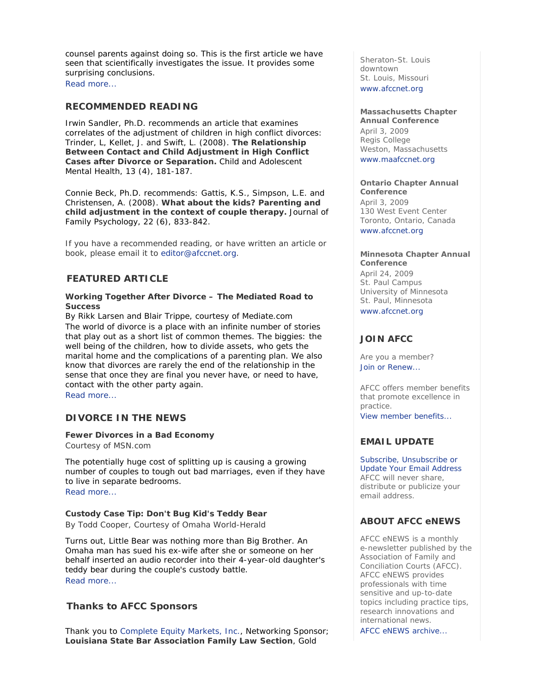counsel parents against doing so. This is the first article we have seen that scientifically investigates the issue. It provides some surprising conclusions.

Read more...

## **RECOMMENDED READING**

Irwin Sandler, Ph.D. recommends an article that examines correlates of the adjustment of children in high conflict divorces: Trinder, L, Kellet, J. and Swift, L. (2008). **The Relationship Between Contact and Child Adjustment in High Conflict Cases after Divorce or Separation.** *Child and Adolescent Mental Health*, 13 (4), 181-187.

Connie Beck, Ph.D. recommends: Gattis, K.S., Simpson, L.E. and Christensen, A. (2008). **What about the kids? Parenting and child adjustment in the context of couple therapy.** *Journal of Family Psychology,* 22 (6), 833-842.

If you have a recommended reading, or have written an article or book, please email it to editor@afccnet.org.

## **FEATURED ARTICLE**

## **Working Together After Divorce – The Mediated Road to Success**

*By Rikk Larsen and Blair Trippe, courtesy of Mediate.com* The world of divorce is a place with an infinite number of stories that play out as a short list of common themes. The biggies: the well being of the children, how to divide assets, who gets the marital home and the complications of a parenting plan. We also know that divorces are rarely the end of the relationship in the sense that once they are final you never have, or need to have, contact with the other party again.

Read more...

## **DIVORCE IN THE NEWS**

## **Fewer Divorces in a Bad Economy**

*Courtesy of MSN.com*

The potentially huge cost of splitting up is causing a growing number of couples to tough out bad marriages, even if they have to live in separate bedrooms.

Read more...

## **Custody Case Tip: Don't Bug Kid's Teddy Bear**

*By Todd Cooper, Courtesy of Omaha World-Herald* 

Turns out, Little Bear was nothing more than Big Brother. An Omaha man has sued his ex-wife after she or someone on her behalf inserted an audio recorder into their 4-year-old daughter's teddy bear during the couple's custody battle. Read more...

## **Thanks to AFCC Sponsors**

Thank you to Complete Equity Markets, Inc., Networking Sponsor; **Louisiana State Bar Association Family Law Section**, Gold

Sheraton-St. Louis downtown St. Louis, Missouri www.afccnet.org

## **Massachusetts Chapter**

**Annual Conference** April 3, 2009 Regis College Weston, Massachusetts www.maafccnet.org

## **Ontario Chapter Annual**

**Conference** April 3, 2009 130 West Event Center Toronto, Ontario, Canada www.afccnet.org

## **Minnesota Chapter Annual**

**Conference** April 24, 2009 St. Paul Campus University of Minnesota St. Paul, Minnesota www.afccnet.org

## **JOIN AFCC**

Are you a member? Join or Renew...

AFCC offers member benefits that promote excellence in practice.

View member benefits...

## **EMAIL UPDATE**

Subscribe, Unsubscribe or Update Your Email Address AFCC will never share, distribute or publicize your email address.

## **ABOUT AFCC eNEWS**

*AFCC eNEWS* is a monthly e-newsletter published by the Association of Family and Conciliation Courts (AFCC). *AFCC eNEWS* provides professionals with time sensitive and up-to-date topics including practice tips, research innovations and international news. AFCC eNEWS archive...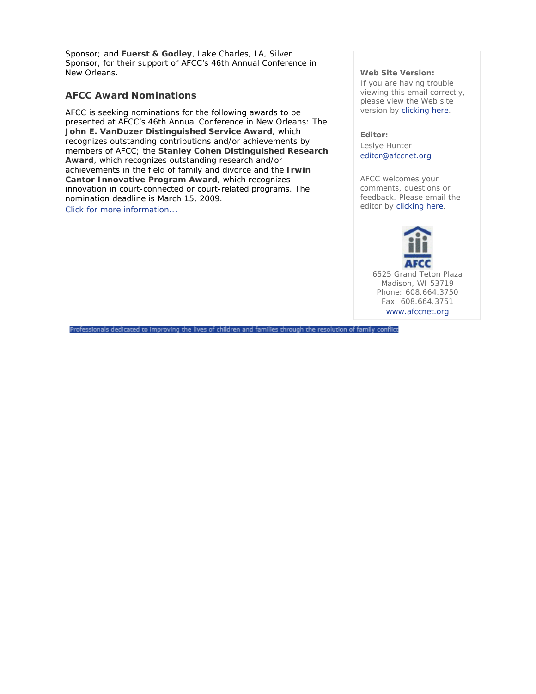Sponsor; and **Fuerst & Godley**, Lake Charles, LA, Silver Sponsor, for their support of AFCC's 46th Annual Conference in New Orleans.

## **AFCC Award Nominations**

AFCC is seeking nominations for the following awards to be presented at AFCC's 46th Annual Conference in New Orleans: The **John E. VanDuzer Distinguished Service Award**, which recognizes outstanding contributions and/or achievements by members of AFCC; the **Stanley Cohen Distinguished Research Award**, which recognizes outstanding research and/or achievements in the field of family and divorce and the **Irwin Cantor Innovative Program Award**, which recognizes innovation in court-connected or court-related programs. The nomination deadline is March 15, 2009. Click for more information...

### **Web Site Version:**

If you are having trouble viewing this email correctly, please view the Web site version by clicking here.

**Editor:**  Leslye Hunter editor@afccnet.org

AFCC welcomes your comments, questions or feedback. Please email the editor by clicking here.



Professionals dedicated to improving the lives of children and families through the resolution of family conflict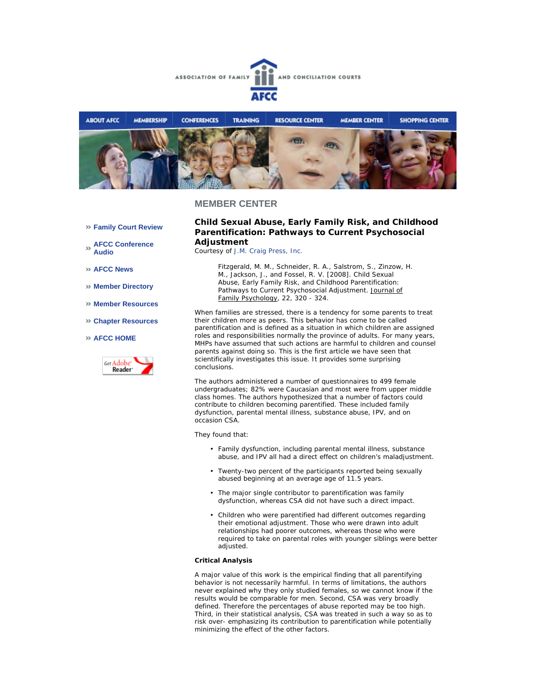



## **MEMBER CENTER**

- **Family Court Review**
- **AFCC Conference Audio**
- **AFCC News**
- **Member Directory**
- **Member Resources**
- **Chapter Resources**
- **AFCC HOME**



## **Child Sexual Abuse, Early Family Risk, and Childhood Parentification: Pathways to Current Psychosocial Adjustment**

*Courtesy of J.M. Craig Press, Inc.*

*Fitzgerald, M. M., Schneider, R. A., Salstrom, S., Zinzow, H. M., Jackson, J., and Fossel, R. V. [2008]. Child Sexual Abuse, Early Family Risk, and Childhood Parentification: Pathways to Current Psychosocial Adjustment. Journal of Family Psychology, 22, 320 - 324.*

When families are stressed, there is a tendency for some parents to treat their children more as peers. This behavior has come to be called parentification and is defined as a situation in which children are assigned roles and responsibilities normally the province of adults. For many years, MHPs have assumed that such actions are harmful to children and counsel parents against doing so. This is the first article we have seen that scientifically investigates this issue. It provides some surprising conclusions.

The authors administered a number of questionnaires to 499 female undergraduates; 82% were Caucasian and most were from upper middle class homes. The authors hypothesized that a number of factors could contribute to children becoming parentified. These included family dysfunction, parental mental illness, substance abuse, IPV, and on occasion CSA.

They found that:

- Family dysfunction, including parental mental illness, substance abuse, and IPV all had a direct effect on children's maladjustment.
- Twenty-two percent of the participants reported being sexually abused beginning at an average age of 11.5 years.
- The major single contributor to parentification was family dysfunction, whereas CSA did not have such a direct impact.
- Children who were parentified had different outcomes regarding their emotional adjustment. Those who were drawn into adult relationships had poorer outcomes, whereas those who were required to take on parental roles with younger siblings were better adjusted.

#### **Critical Analysis**

A major value of this work is the empirical finding that all parentifying behavior is not necessarily harmful. In terms of limitations, the authors never explained why they only studied females, so we cannot know if the results would be comparable for men. Second, CSA was very broadly defined. Therefore the percentages of abuse reported may be too high. Third, in their statistical analysis, CSA was treated in such a way so as to risk over- emphasizing its contribution to parentification while potentially minimizing the effect of the other factors.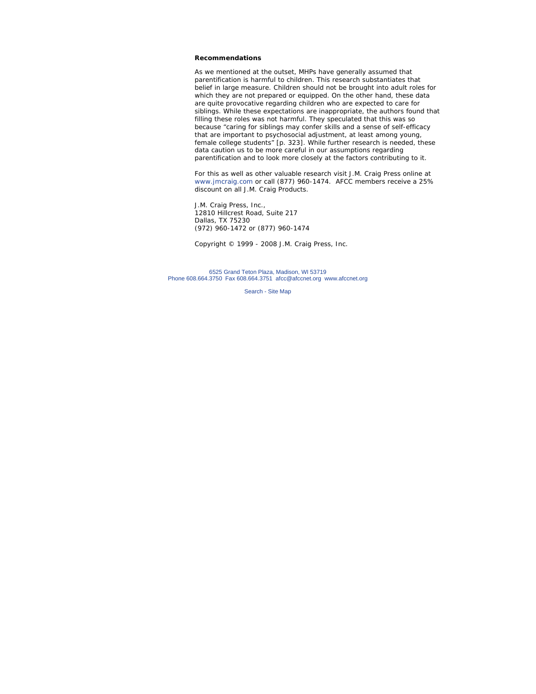### **Recommendations**

As we mentioned at the outset, MHPs have generally assumed that parentification is harmful to children. This research substantiates that belief in large measure. Children should not be brought into adult roles for which they are not prepared or equipped. On the other hand, these data are quite provocative regarding children who are expected to care for siblings. While these expectations are inappropriate, the authors found that filling these roles was not harmful. They speculated that this was so because "caring for siblings may confer skills and a sense of self-efficacy that are important to psychosocial adjustment, at least among young, female college students" [p. 323]. While further research is needed, these data caution us to be more careful in our assumptions regarding parentification and to look more closely at the factors contributing to it.

*For this as well as other valuable research visit J.M. Craig Press online at www.jmcraig.com or call (877) 960-1474. AFCC members receive a 25% discount on all J.M. Craig Products.*

J.M. Craig Press, Inc., 12810 Hillcrest Road, Suite 217 Dallas, TX 75230 (972) 960-1472 or (877) 960-1474

*Copyright © 1999 - 2008 J.M. Craig Press, Inc.*

6525 Grand Teton Plaza, Madison, WI 53719 Phone 608.664.3750 Fax 608.664.3751 afcc@afccnet.org www.afccnet.org

Search - Site Map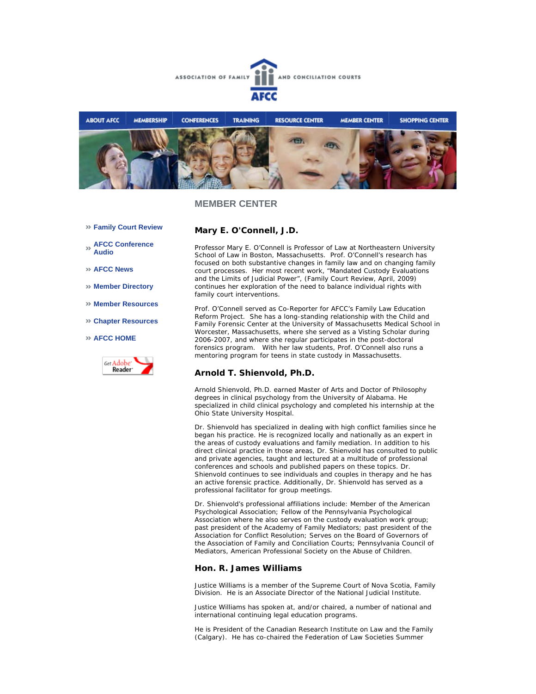



## **MEMBER CENTER**

- **Family Court Review**
- **AFCC Conference Audio**
- **AFCC News**
- **Member Directory**
- **Member Resources**
- **Chapter Resources**
- **AFCC HOME**



### **Mary E. O'Connell, J.D.**

Professor Mary E. O'Connell is Professor of Law at Northeastern University School of Law in Boston, Massachusetts. Prof. O'Connell's research has focused on both substantive changes in family law and on changing family court processes. Her most recent work, *"Mandated Custody Evaluations and the Limits of Judicial Power",* (*Family Court Review,* April, 2009) continues her exploration of the need to balance individual rights with family court interventions.

Prof. O'Connell served as Co-Reporter for AFCC's *Family Law Education Reform Project.* She has a long-standing relationship with the Child and Family Forensic Center at the University of Massachusetts Medical School in Worcester, Massachusetts, where she served as a Visting Scholar during 2006-2007, and where she regular participates in the post-doctoral forensics program. With her law students, Prof. O'Connell also runs a mentoring program for teens in state custody in Massachusetts.

## **Arnold T. Shienvold, Ph.D.**

Arnold Shienvold, Ph.D. earned Master of Arts and Doctor of Philosophy degrees in clinical psychology from the University of Alabama. He specialized in child clinical psychology and completed his internship at the Ohio State University Hospital.

Dr. Shienvold has specialized in dealing with high conflict families since he began his practice. He is recognized locally and nationally as an expert in the areas of custody evaluations and family mediation. In addition to his direct clinical practice in those areas, Dr. Shienvold has consulted to public and private agencies, taught and lectured at a multitude of professional conferences and schools and published papers on these topics. Dr. Shienvold continues to see individuals and couples in therapy and he has an active forensic practice. Additionally, Dr. Shienvold has served as a professional facilitator for group meetings.

Dr. Shienvold's professional affiliations include: Member of the American Psychological Association; Fellow of the Pennsylvania Psychological Association where he also serves on the custody evaluation work group; past president of the Academy of Family Mediators; past president of the Association for Conflict Resolution; Serves on the Board of Governors of the Association of Family and Conciliation Courts; Pennsylvania Council of Mediators, American Professional Society on the Abuse of Children.

### **Hon. R. James Williams**

Justice Williams is a member of the Supreme Court of Nova Scotia, Family Division. He is an Associate Director of the National Judicial Institute.

Justice Williams has spoken at, and/or chaired, a number of national and international continuing legal education programs.

He is President of the Canadian Research Institute on Law and the Family (Calgary). He has co-chaired the Federation of Law Societies Summer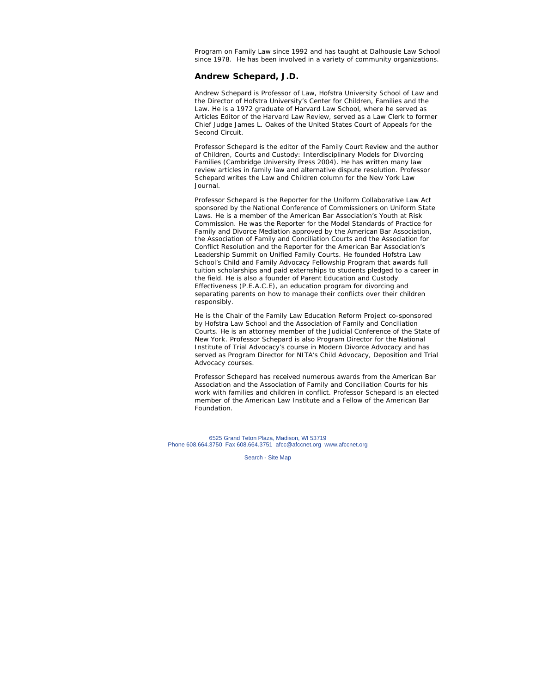Program on Family Law since 1992 and has taught at Dalhousie Law School since 1978. He has been involved in a variety of community organizations.

### **Andrew Schepard, J.D.**

Andrew Schepard is Professor of Law, Hofstra University School of Law and the Director of Hofstra University's Center for Children, Families and the Law. He is a 1972 graduate of Harvard Law School, where he served as Articles Editor of the *Harvard Law Review*, served as a Law Clerk to former Chief Judge James L. Oakes of the United States Court of Appeals for the Second Circuit.

Professor Schepard is the editor of the *Family Court Review* and the author of *Children, Courts and Custody: Interdisciplinary Models for Divorcing Families* (Cambridge University Press 2004). He has written many law review articles in family law and alternative dispute resolution. Professor Schepard writes the Law and Children column for the *New York Law Journal*.

Professor Schepard is the Reporter for the Uniform Collaborative Law Act sponsored by the National Conference of Commissioners on Uniform State Laws. He is a member of the American Bar Association's Youth at Risk Commission. He was the Reporter for the *Model Standards of Practice for Family and Divorce Mediation* approved by the American Bar Association, the Association of Family and Conciliation Courts and the Association for Conflict Resolution and the Reporter for the American Bar Association's Leadership Summit on Unified Family Courts. He founded Hofstra Law School's Child and Family Advocacy Fellowship Program that awards full tuition scholarships and paid externships to students pledged to a career in the field. He is also a founder of Parent Education and Custody Effectiveness (P.E.A.C.E), an education program for divorcing and separating parents on how to manage their conflicts over their children responsibly.

He is the Chair of the Family Law Education Reform Project co-sponsored by Hofstra Law School and the Association of Family and Conciliation Courts. He is an attorney member of the Judicial Conference of the State of New York. Professor Schepard is also Program Director for the National Institute of Trial Advocacy's course in Modern Divorce Advocacy and has served as Program Director for NITA's Child Advocacy, Deposition and Trial Advocacy courses.

Professor Schepard has received numerous awards from the American Bar Association and the Association of Family and Conciliation Courts for his work with families and children in conflict. Professor Schepard is an elected member of the American Law Institute and a Fellow of the American Bar Foundation.

6525 Grand Teton Plaza, Madison, WI 53719 Phone 608.664.3750 Fax 608.664.3751 afcc@afccnet.org www.afccnet.org

Search - Site Map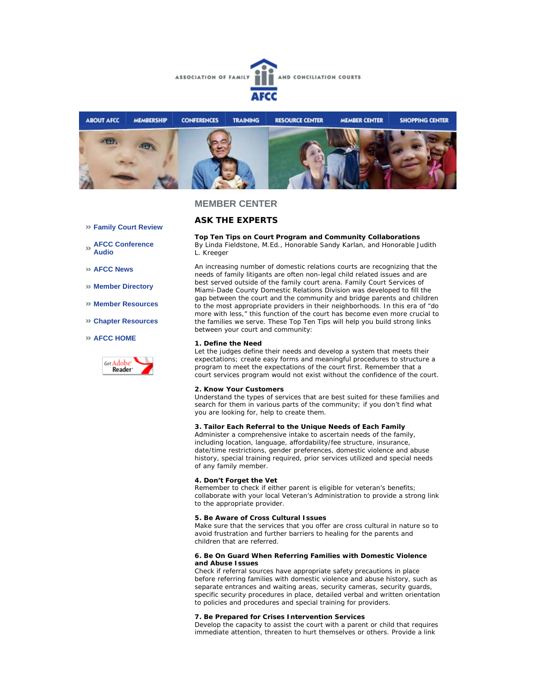



## **MEMBER CENTER**

## **ASK THE EXPERTS**

- **Family Court Review**
- **AFCC Conference Audio**
- **AFCC News**
- **Member Directory**
- **Member Resources**
- **Chapter Resources**
- **AFCC HOME**



**Top Ten Tips on Court Program and Community Collaborations** *By Linda Fieldstone, M.Ed., Honorable Sandy Karlan, and Honorable Judith L. Kreeger*

An increasing number of domestic relations courts are recognizing that the needs of family litigants are often non-legal child related issues and are best served outside of the family court arena. Family Court Services of Miami-Dade County Domestic Relations Division was developed to fill the gap between the court and the community and bridge parents and children

to the most appropriate providers in their neighborhoods. In this era of "do more with less," this function of the court has become even more crucial to the families we serve. These Top Ten Tips will help you build strong links between your court and community:

#### **1. Define the Need**

Let the judges define their needs and develop a system that meets their expectations; create easy forms and meaningful procedures to structure a program to meet the expectations of the court first. Remember that a court services program would not exist without the confidence of the court.

#### **2. Know Your Customers**

Understand the types of services that are best suited for these families and search for them in various parts of the community; if you don't find what you are looking for, help to create them.

#### **3. Tailor Each Referral to the Unique Needs of Each Family**

Administer a comprehensive intake to ascertain needs of the family, including location, language, affordability/fee structure, insurance, date/time restrictions, gender preferences, domestic violence and abuse history, special training required, prior services utilized and special needs of any family member.

#### **4. Don't Forget the Vet**

Remember to check if either parent is eligible for veteran's benefits; collaborate with your local Veteran's Administration to provide a strong link to the appropriate provider.

#### **5. Be Aware of Cross Cultural Issues**

Make sure that the services that you offer are cross cultural in nature so to avoid frustration and further barriers to healing for the parents and children that are referred.

#### **6. Be On Guard When Referring Families with Domestic Violence and Abuse Issues**

Check if referral sources have appropriate safety precautions in place before referring families with domestic violence and abuse history, such as separate entrances and waiting areas, security cameras, security guards, specific security procedures in place, detailed verbal and written orientation to policies and procedures and special training for providers.

#### **7. Be Prepared for Crises Intervention Services**

Develop the capacity to assist the court with a parent or child that requires immediate attention, threaten to hurt themselves or others. Provide a link